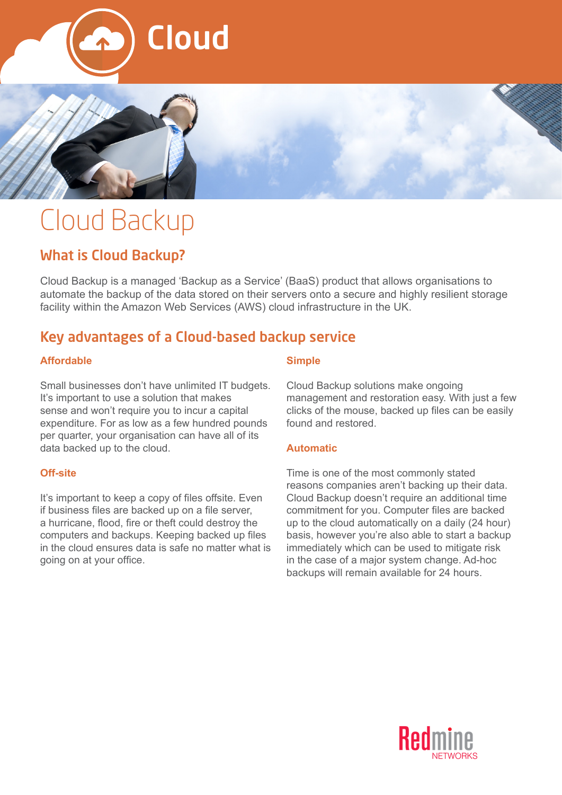



# Cloud Backup

# What is Cloud Backup?

Cloud Backup is a managed 'Backup as a Service' (BaaS) product that allows organisations to automate the backup of the data stored on their servers onto a secure and highly resilient storage facility within the Amazon Web Services (AWS) cloud infrastructure in the UK.

# Key advantages of a Cloud-based backup service

#### **Affordable**

Small businesses don't have unlimited IT budgets. It's important to use a solution that makes sense and won't require you to incur a capital expenditure. For as low as a few hundred pounds per quarter, your organisation can have all of its data backed up to the cloud.

#### **Off-site**

It's important to keep a copy of files offsite. Even if business files are backed up on a file server, a hurricane, flood, fire or theft could destroy the computers and backups. Keeping backed up files in the cloud ensures data is safe no matter what is going on at your office.

#### **Simple**

Cloud Backup solutions make ongoing management and restoration easy. With just a few clicks of the mouse, backed up files can be easily found and restored.

#### **Automatic**

Time is one of the most commonly stated reasons companies aren't backing up their data. Cloud Backup doesn't require an additional time commitment for you. Computer files are backed up to the cloud automatically on a daily (24 hour) basis, however you're also able to start a backup immediately which can be used to mitigate risk in the case of a major system change. Ad-hoc backups will remain available for 24 hours.